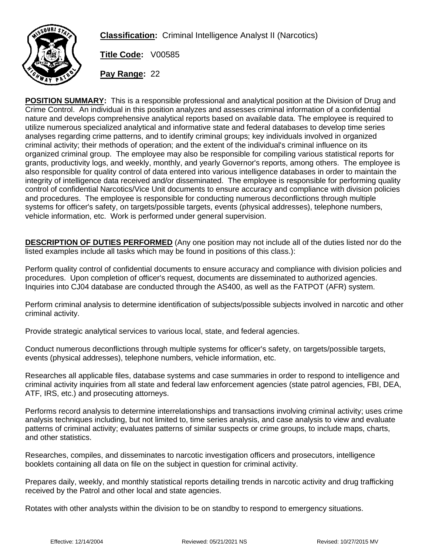

**Classification:** Criminal Intelligence Analyst II (Narcotics)

**Title Code:** V00585

**Pay Range:** 22

**POSITION SUMMARY:** This is a responsible professional and analytical position at the Division of Drug and Crime Control. An individual in this position analyzes and assesses criminal information of a confidential nature and develops comprehensive analytical reports based on available data. The employee is required to utilize numerous specialized analytical and informative state and federal databases to develop time series analyses regarding crime patterns, and to identify criminal groups; key individuals involved in organized criminal activity; their methods of operation; and the extent of the individual's criminal influence on its organized criminal group. The employee may also be responsible for compiling various statistical reports for grants, productivity logs, and weekly, monthly, and yearly Governor's reports, among others. The employee is also responsible for quality control of data entered into various intelligence databases in order to maintain the integrity of intelligence data received and/or disseminated. The employee is responsible for performing quality control of confidential Narcotics/Vice Unit documents to ensure accuracy and compliance with division policies and procedures. The employee is responsible for conducting numerous deconflictions through multiple systems for officer's safety, on targets/possible targets, events (physical addresses), telephone numbers, vehicle information, etc. Work is performed under general supervision.

**DESCRIPTION OF DUTIES PERFORMED** (Any one position may not include all of the duties listed nor do the listed examples include all tasks which may be found in positions of this class.):

Perform quality control of confidential documents to ensure accuracy and compliance with division policies and procedures. Upon completion of officer's request, documents are disseminated to authorized agencies. Inquiries into CJ04 database are conducted through the AS400, as well as the FATPOT (AFR) system.

Perform criminal analysis to determine identification of subjects/possible subjects involved in narcotic and other criminal activity.

Provide strategic analytical services to various local, state, and federal agencies.

Conduct numerous deconflictions through multiple systems for officer's safety, on targets/possible targets, events (physical addresses), telephone numbers, vehicle information, etc.

Researches all applicable files, database systems and case summaries in order to respond to intelligence and criminal activity inquiries from all state and federal law enforcement agencies (state patrol agencies, FBI, DEA, ATF, IRS, etc.) and prosecuting attorneys.

Performs record analysis to determine interrelationships and transactions involving criminal activity; uses crime analysis techniques including, but not limited to, time series analysis, and case analysis to view and evaluate patterns of criminal activity; evaluates patterns of similar suspects or crime groups, to include maps, charts, and other statistics.

Researches, compiles, and disseminates to narcotic investigation officers and prosecutors, intelligence booklets containing all data on file on the subject in question for criminal activity.

Prepares daily, weekly, and monthly statistical reports detailing trends in narcotic activity and drug trafficking received by the Patrol and other local and state agencies.

Rotates with other analysts within the division to be on standby to respond to emergency situations.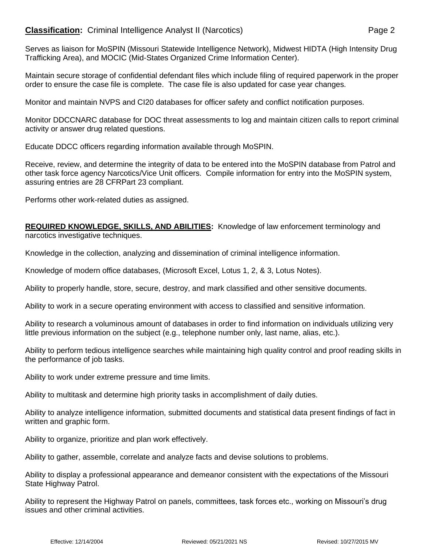## **Classification:** Criminal Intelligence Analyst II (Narcotics) **Page 2** Page 2

Serves as liaison for MoSPIN (Missouri Statewide Intelligence Network), Midwest HIDTA (High Intensity Drug Trafficking Area), and MOCIC (Mid-States Organized Crime Information Center).

Maintain secure storage of confidential defendant files which include filing of required paperwork in the proper order to ensure the case file is complete. The case file is also updated for case year changes.

Monitor and maintain NVPS and CI20 databases for officer safety and conflict notification purposes.

Monitor DDCCNARC database for DOC threat assessments to log and maintain citizen calls to report criminal activity or answer drug related questions.

Educate DDCC officers regarding information available through MoSPIN.

Receive, review, and determine the integrity of data to be entered into the MoSPIN database from Patrol and other task force agency Narcotics/Vice Unit officers. Compile information for entry into the MoSPIN system, assuring entries are 28 CFRPart 23 compliant.

Performs other work-related duties as assigned.

**REQUIRED KNOWLEDGE, SKILLS, AND ABILITIES:** Knowledge of law enforcement terminology and narcotics investigative techniques.

Knowledge in the collection, analyzing and dissemination of criminal intelligence information.

Knowledge of modern office databases, (Microsoft Excel, Lotus 1, 2, & 3, Lotus Notes).

Ability to properly handle, store, secure, destroy, and mark classified and other sensitive documents.

Ability to work in a secure operating environment with access to classified and sensitive information.

Ability to research a voluminous amount of databases in order to find information on individuals utilizing very little previous information on the subject (e.g., telephone number only, last name, alias, etc.).

Ability to perform tedious intelligence searches while maintaining high quality control and proof reading skills in the performance of job tasks.

Ability to work under extreme pressure and time limits.

Ability to multitask and determine high priority tasks in accomplishment of daily duties.

Ability to analyze intelligence information, submitted documents and statistical data present findings of fact in written and graphic form.

Ability to organize, prioritize and plan work effectively.

Ability to gather, assemble, correlate and analyze facts and devise solutions to problems.

Ability to display a professional appearance and demeanor consistent with the expectations of the Missouri State Highway Patrol.

Ability to represent the Highway Patrol on panels, committees, task forces etc., working on Missouri's drug issues and other criminal activities.